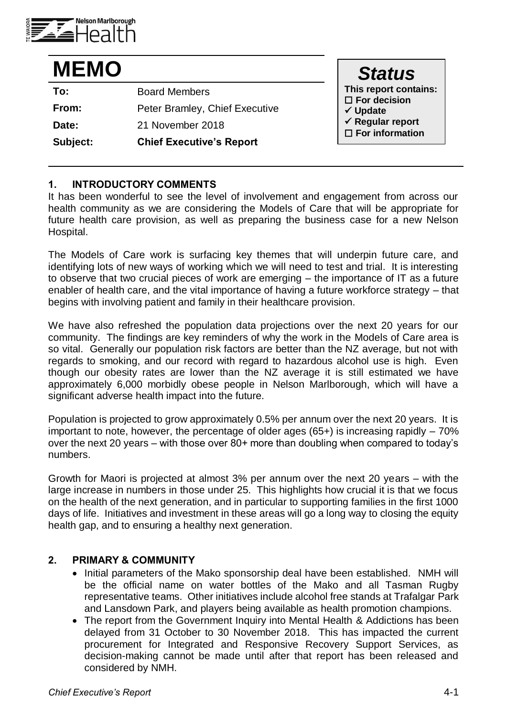

| <b>MEMO</b> |                                 | <b>Status</b>                                            |
|-------------|---------------------------------|----------------------------------------------------------|
| To:         | <b>Board Members</b>            | This report contains:                                    |
| From:       | Peter Bramley, Chief Executive  | $\square$ For decision<br>$\checkmark$ Update            |
| Date:       | 21 November 2018                | $\checkmark$ Regular report<br>$\square$ For information |
| Subject:    | <b>Chief Executive's Report</b> |                                                          |
|             |                                 |                                                          |

## **1. INTRODUCTORY COMMENTS**

It has been wonderful to see the level of involvement and engagement from across our health community as we are considering the Models of Care that will be appropriate for future health care provision, as well as preparing the business case for a new Nelson Hospital.

The Models of Care work is surfacing key themes that will underpin future care, and identifying lots of new ways of working which we will need to test and trial. It is interesting to observe that two crucial pieces of work are emerging – the importance of IT as a future enabler of health care, and the vital importance of having a future workforce strategy – that begins with involving patient and family in their healthcare provision.

We have also refreshed the population data projections over the next 20 years for our community. The findings are key reminders of why the work in the Models of Care area is so vital. Generally our population risk factors are better than the NZ average, but not with regards to smoking, and our record with regard to hazardous alcohol use is high. Even though our obesity rates are lower than the NZ average it is still estimated we have approximately 6,000 morbidly obese people in Nelson Marlborough, which will have a significant adverse health impact into the future.

Population is projected to grow approximately 0.5% per annum over the next 20 years. It is important to note, however, the percentage of older ages  $(65+)$  is increasing rapidly  $-70\%$ over the next 20 years – with those over 80+ more than doubling when compared to today's numbers.

Growth for Maori is projected at almost 3% per annum over the next 20 years – with the large increase in numbers in those under 25. This highlights how crucial it is that we focus on the health of the next generation, and in particular to supporting families in the first 1000 days of life. Initiatives and investment in these areas will go a long way to closing the equity health gap, and to ensuring a healthy next generation.

## **2. PRIMARY & COMMUNITY**

- Initial parameters of the Mako sponsorship deal have been established. NMH will be the official name on water bottles of the Mako and all Tasman Rugby representative teams. Other initiatives include alcohol free stands at Trafalgar Park and Lansdown Park, and players being available as health promotion champions.
- The report from the Government Inquiry into Mental Health & Addictions has been delayed from 31 October to 30 November 2018. This has impacted the current procurement for Integrated and Responsive Recovery Support Services, as decision-making cannot be made until after that report has been released and considered by NMH.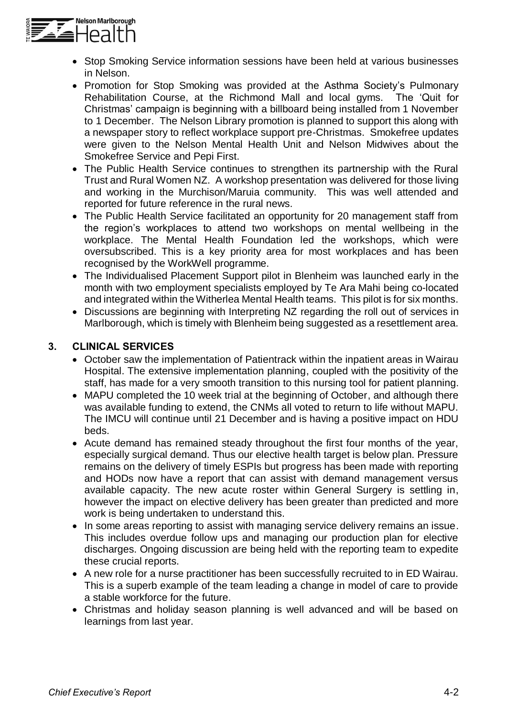

- Stop Smoking Service information sessions have been held at various businesses in Nelson.
- Promotion for Stop Smoking was provided at the Asthma Society's Pulmonary Rehabilitation Course, at the Richmond Mall and local gyms. The 'Quit for Christmas' campaign is beginning with a billboard being installed from 1 November to 1 December. The Nelson Library promotion is planned to support this along with a newspaper story to reflect workplace support pre-Christmas. Smokefree updates were given to the Nelson Mental Health Unit and Nelson Midwives about the Smokefree Service and Pepi First.
- The Public Health Service continues to strengthen its partnership with the Rural Trust and Rural Women NZ. A workshop presentation was delivered for those living and working in the Murchison/Maruia community. This was well attended and reported for future reference in the rural news.
- The Public Health Service facilitated an opportunity for 20 management staff from the region's workplaces to attend two workshops on mental wellbeing in the workplace. The Mental Health Foundation led the workshops, which were oversubscribed. This is a key priority area for most workplaces and has been recognised by the WorkWell programme.
- The Individualised Placement Support pilot in Blenheim was launched early in the month with two employment specialists employed by Te Ara Mahi being co-located and integrated within the Witherlea Mental Health teams. This pilot is for six months.
- Discussions are beginning with Interpreting NZ regarding the roll out of services in Marlborough, which is timely with Blenheim being suggested as a resettlement area.

## **3. CLINICAL SERVICES**

- October saw the implementation of Patientrack within the inpatient areas in Wairau Hospital. The extensive implementation planning, coupled with the positivity of the staff, has made for a very smooth transition to this nursing tool for patient planning.
- MAPU completed the 10 week trial at the beginning of October, and although there was available funding to extend, the CNMs all voted to return to life without MAPU. The IMCU will continue until 21 December and is having a positive impact on HDU beds.
- Acute demand has remained steady throughout the first four months of the year, especially surgical demand. Thus our elective health target is below plan. Pressure remains on the delivery of timely ESPIs but progress has been made with reporting and HODs now have a report that can assist with demand management versus available capacity. The new acute roster within General Surgery is settling in, however the impact on elective delivery has been greater than predicted and more work is being undertaken to understand this.
- In some areas reporting to assist with managing service delivery remains an issue. This includes overdue follow ups and managing our production plan for elective discharges. Ongoing discussion are being held with the reporting team to expedite these crucial reports.
- A new role for a nurse practitioner has been successfully recruited to in ED Wairau. This is a superb example of the team leading a change in model of care to provide a stable workforce for the future.
- Christmas and holiday season planning is well advanced and will be based on learnings from last year.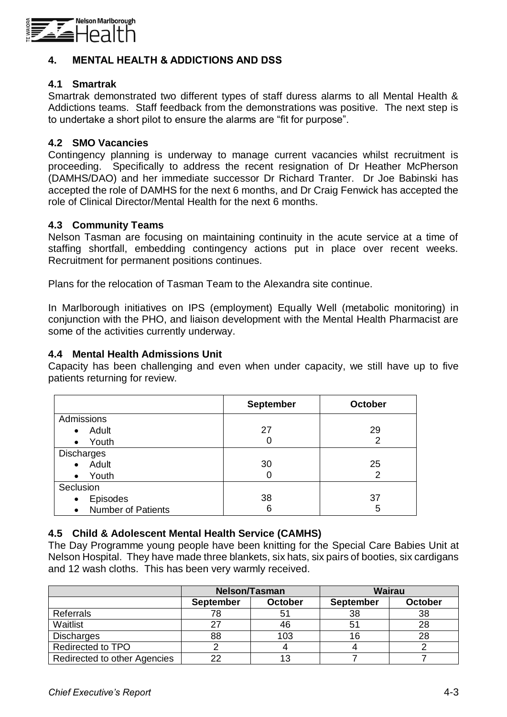

## **4. MENTAL HEALTH & ADDICTIONS AND DSS**

## **4.1 Smartrak**

Smartrak demonstrated two different types of staff duress alarms to all Mental Health & Addictions teams. Staff feedback from the demonstrations was positive. The next step is to undertake a short pilot to ensure the alarms are "fit for purpose".

## **4.2 SMO Vacancies**

Contingency planning is underway to manage current vacancies whilst recruitment is proceeding. Specifically to address the recent resignation of Dr Heather McPherson (DAMHS/DAO) and her immediate successor Dr Richard Tranter. Dr Joe Babinski has accepted the role of DAMHS for the next 6 months, and Dr Craig Fenwick has accepted the role of Clinical Director/Mental Health for the next 6 months.

## **4.3 Community Teams**

Nelson Tasman are focusing on maintaining continuity in the acute service at a time of staffing shortfall, embedding contingency actions put in place over recent weeks. Recruitment for permanent positions continues.

Plans for the relocation of Tasman Team to the Alexandra site continue.

In Marlborough initiatives on IPS (employment) Equally Well (metabolic monitoring) in conjunction with the PHO, and liaison development with the Mental Health Pharmacist are some of the activities currently underway.

## **4.4 Mental Health Admissions Unit**

Capacity has been challenging and even when under capacity, we still have up to five patients returning for review.

|                                 | <b>September</b> | <b>October</b> |
|---------------------------------|------------------|----------------|
| Admissions                      |                  |                |
| Adult<br>$\bullet$              | 27               | 29             |
| Youth<br>$\bullet$              |                  | 2              |
| <b>Discharges</b>               |                  |                |
| Adult<br>$\bullet$              | 30               | 25             |
| Youth<br>$\bullet$              | 0                | 2              |
| Seclusion                       |                  |                |
| Episodes<br>$\bullet$           | 38               | 37             |
| Number of Patients<br>$\bullet$ | 6                | 5              |

## **4.5 Child & Adolescent Mental Health Service (CAMHS)**

The Day Programme young people have been knitting for the Special Care Babies Unit at Nelson Hospital. They have made three blankets, six hats, six pairs of booties, six cardigans and 12 wash cloths. This has been very warmly received.

|                              |                  | <b>Nelson/Tasman</b> | <b>Wairau</b>    |                |  |
|------------------------------|------------------|----------------------|------------------|----------------|--|
|                              | <b>September</b> | <b>October</b>       | <b>September</b> | <b>October</b> |  |
| Referrals                    |                  | 51                   | 38               | 38             |  |
| Waitlist                     | 27               |                      |                  | 28             |  |
| Discharges                   | 88               | 103                  | 16               | 28             |  |
| Redirected to TPO            |                  |                      |                  |                |  |
| Redirected to other Agencies | 22               |                      |                  |                |  |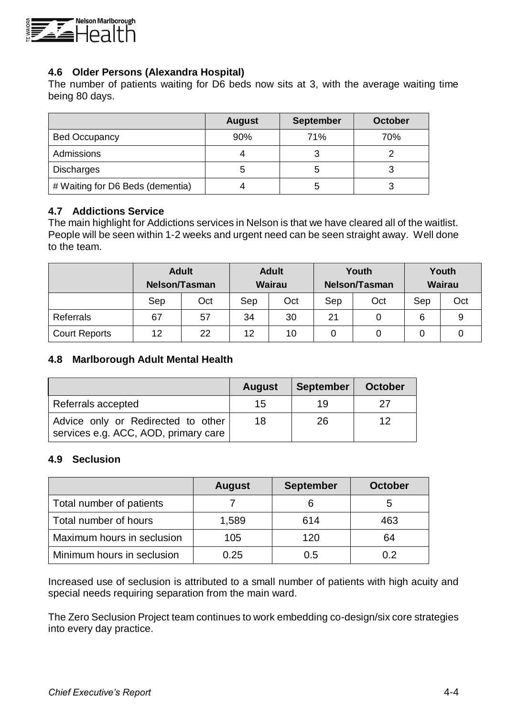

## **4.6 Older Persons (Alexandra Hospital)**

The number of patients waiting for D6 beds now sits at 3, with the average waiting time being 80 days.

|                                  | <b>August</b> | <b>September</b> | <b>October</b> |
|----------------------------------|---------------|------------------|----------------|
| <b>Bed Occupancy</b>             | 90%           | 71%              | 70%            |
| Admissions                       |               |                  |                |
| <b>Discharges</b>                | C             | <sub>5</sub>     |                |
| # Waiting for D6 Beds (dementia) |               |                  |                |

## **4.7 Addictions Service**

The main highlight for Addictions services in Nelson is that we have cleared all of the waitlist. People will be seen within 1-2 weeks and urgent need can be seen straight away. Well done to the team.

|                      | <b>Adult</b><br>Nelson/Tasman |     | <b>Adult</b><br><b>Wairau</b> |     | Youth<br><b>Nelson/Tasman</b> |     | Youth<br><b>Wairau</b> |     |
|----------------------|-------------------------------|-----|-------------------------------|-----|-------------------------------|-----|------------------------|-----|
|                      | Sep                           | Oct | Sep                           | Oct | Sep                           | Oct | Sep                    | Oct |
| Referrals            | 67                            | 57  | 34                            | 30  | 21                            |     | 6                      | 9   |
| <b>Court Reports</b> | 12                            | 22  | 12                            | 10  |                               |     | O                      |     |

## **4.8 Marlborough Adult Mental Health**

|                                                                            | <b>August</b> | <b>September</b> | <b>October</b> |
|----------------------------------------------------------------------------|---------------|------------------|----------------|
| Referrals accepted                                                         | 15            | 19               | クフ             |
| Advice only or Redirected to other<br>services e.g. ACC, AOD, primary care | 18            | 26               | 12             |

## **4.9 Seclusion**

|                            | <b>August</b> | <b>September</b> | <b>October</b> |
|----------------------------|---------------|------------------|----------------|
| Total number of patients   |               |                  | b              |
| Total number of hours      | 1,589         | 614              | 463            |
| Maximum hours in seclusion | 105           | 120              | 64             |
| Minimum hours in seclusion | 0.25          | 0.5              | በ ጋ            |

Increased use of seclusion is attributed to a small number of patients with high acuity and special needs requiring separation from the main ward.

The Zero Seclusion Project team continues to work embedding co-design/six core strategies into every day practice.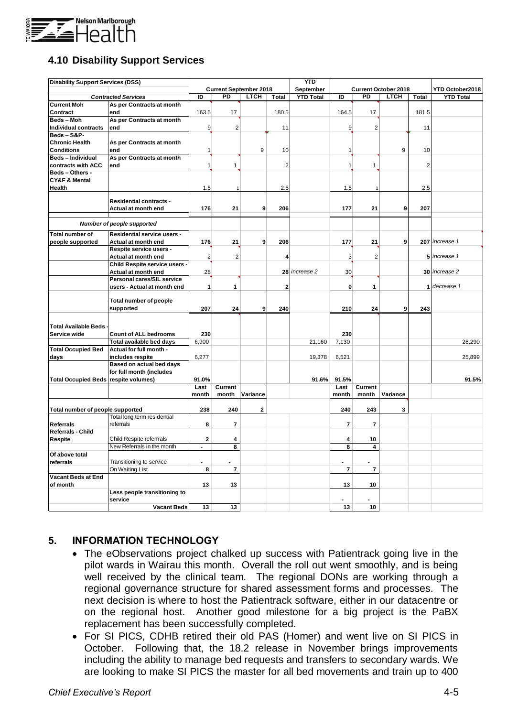

## **4.10 Disability Support Services**

| <b>Disability Support Services (DSS)</b> |                                                      |                |                               |                |                | YTD              |                |                |                             |                |                  |
|------------------------------------------|------------------------------------------------------|----------------|-------------------------------|----------------|----------------|------------------|----------------|----------------|-----------------------------|----------------|------------------|
|                                          |                                                      |                | <b>Current September 2018</b> |                |                | September        |                |                | <b>Current October 2018</b> |                | YTD October2018  |
|                                          | <b>Contracted Services</b>                           | ID             | PD                            | <b>LTCH</b>    | Total          | <b>YTD Total</b> | ID             | PD             | <b>LTCH</b>                 | Total          | <b>YTD Total</b> |
| <b>Current Moh</b>                       | As per Contracts at month                            |                |                               |                |                |                  |                |                |                             |                |                  |
| Contract                                 | end                                                  | 163.5          | 17                            |                | 180.5          |                  | 164.5          | 17             |                             | 181.5          |                  |
| Beds-Moh                                 | As per Contracts at month                            |                |                               |                |                |                  |                |                |                             |                |                  |
| <b>Individual contracts</b>              | end                                                  | 9              | $\overline{2}$                |                | 11             |                  | 9              | $\overline{2}$ |                             | 11             |                  |
| Beds-S&P-<br><b>Chronic Health</b>       | As per Contracts at month                            |                |                               |                |                |                  |                |                |                             |                |                  |
| <b>Conditions</b>                        | end                                                  | 1              |                               | 9              | 10             |                  | 1              |                | 9                           | 10             |                  |
| <b>Beds-Individual</b>                   | As per Contracts at month                            |                |                               |                |                |                  |                |                |                             |                |                  |
| contracts with ACC                       | end                                                  | $\mathbf{1}$   | $\mathbf{1}$                  |                | $\overline{2}$ |                  | 1              | 1              |                             | $\overline{2}$ |                  |
| Beds - Others -                          |                                                      |                |                               |                |                |                  |                |                |                             |                |                  |
| CY&F & Mental                            |                                                      |                |                               |                |                |                  |                |                |                             |                |                  |
| Health                                   |                                                      | 1.5            |                               |                | 2.5            |                  | 1.5            |                |                             | 2.5            |                  |
|                                          |                                                      |                |                               |                |                |                  |                |                |                             |                |                  |
|                                          | <b>Residential contracts -</b>                       |                |                               |                |                |                  |                |                |                             |                |                  |
|                                          | Actual at month end                                  | 176            | 21                            | 9              | 206            |                  | 177            | 21             | 9                           | 207            |                  |
|                                          |                                                      |                |                               |                |                |                  |                |                |                             |                |                  |
|                                          | Number of people supported                           |                |                               |                |                |                  |                |                |                             |                |                  |
| <b>Total number of</b>                   | Residential service users -                          |                |                               |                |                |                  |                |                |                             |                |                  |
| people supported                         | Actual at month end                                  | 176            | 21                            | 9              | 206            |                  | 177            | 21             | 9                           |                | 207 increase 1   |
|                                          | Respite service users -                              |                | $\overline{2}$                |                |                |                  |                |                |                             |                |                  |
|                                          | Actual at month end<br>Child Respite service users - | $\overline{2}$ |                               |                | 4              |                  | 3              | $\overline{2}$ |                             |                | 5 increase 1     |
|                                          | Actual at month end                                  | 28             |                               |                |                | 28 increase 2    | 30             |                |                             |                | 30 increase 2    |
|                                          | <b>Personal cares/SIL service</b>                    |                |                               |                |                |                  |                |                |                             |                |                  |
|                                          | users - Actual at month end                          | 1              | 1                             |                | 2              |                  | $\mathbf 0$    | 1              |                             |                | 1 decrease 1     |
|                                          |                                                      |                |                               |                |                |                  |                |                |                             |                |                  |
|                                          | <b>Total number of people</b>                        |                |                               |                |                |                  |                |                |                             |                |                  |
|                                          | supported                                            | 207            | 24                            | 9              | 240            |                  | 210            | 24             | 9                           | 243            |                  |
|                                          |                                                      |                |                               |                |                |                  |                |                |                             |                |                  |
| <b>Total Available Beds</b>              |                                                      |                |                               |                |                |                  |                |                |                             |                |                  |
| Service wide                             | <b>Count of ALL bedrooms</b>                         | 230            |                               |                |                |                  | 230            |                |                             |                |                  |
|                                          | Total available bed days                             | 6,900          |                               |                |                | 21,160           | 7,130          |                |                             |                | 28,290           |
| <b>Total Occupied Bed</b>                | Actual for full month -                              |                |                               |                |                |                  |                |                |                             |                |                  |
| days                                     | includes respite                                     | 6,277          |                               |                |                | 19,378           | 6,521          |                |                             |                | 25,899           |
|                                          | Based on actual bed days                             |                |                               |                |                |                  |                |                |                             |                |                  |
|                                          | for full month (includes                             |                |                               |                |                |                  |                |                |                             |                |                  |
| <b>Total Occupied Beds</b>               | respite volumes)                                     | 91.0%          |                               |                |                | 91.6%            | 91.5%          |                |                             |                | 91.5%            |
|                                          |                                                      | Last           | Current                       |                |                |                  | Last           | Current        |                             |                |                  |
|                                          |                                                      | month          | month                         | Variance       |                |                  | month          | month          | Variance                    |                |                  |
| Total number of people supported         |                                                      | 238            | 240                           | $\overline{2}$ |                |                  | 240            | 243            | 3                           |                |                  |
|                                          | Total long term residential                          |                |                               |                |                |                  |                |                |                             |                |                  |
| <b>Referrals</b>                         | referrals                                            | 8              | $\overline{7}$                |                |                |                  | $\overline{7}$ | $\overline{7}$ |                             |                |                  |
| Referrals - Child                        |                                                      |                |                               |                |                |                  |                |                |                             |                |                  |
| Respite                                  | Child Respite referrrals                             | $\mathbf 2$    | 4                             |                |                |                  | 4              | 10             |                             |                |                  |
|                                          | New Referrals in the month                           | $\blacksquare$ | 8                             |                |                |                  | 8              | 4              |                             |                |                  |
| Of above total                           |                                                      |                |                               |                |                |                  |                |                |                             |                |                  |
| referrals                                | Transitioning to service                             | $\overline{a}$ | $\overline{a}$                |                |                |                  |                | $\blacksquare$ |                             |                |                  |
|                                          | On Waiting List                                      | 8              | $\overline{7}$                |                |                |                  | $\overline{7}$ | $\overline{7}$ |                             |                |                  |
| <b>Vacant Beds at End</b>                |                                                      |                |                               |                |                |                  |                |                |                             |                |                  |
| of month                                 |                                                      | 13             | 13                            |                |                |                  | 13             | 10             |                             |                |                  |
|                                          | Less people transitioning to                         |                |                               |                |                |                  |                |                |                             |                |                  |
|                                          | service                                              |                |                               |                |                |                  |                | $\blacksquare$ |                             |                |                  |
|                                          | <b>Vacant Beds</b>                                   | 13             | 13                            |                |                |                  | 13             | 10             |                             |                |                  |

## **5. INFORMATION TECHNOLOGY**

- The eObservations project chalked up success with Patientrack going live in the pilot wards in Wairau this month. Overall the roll out went smoothly, and is being well received by the clinical team. The regional DONs are working through a regional governance structure for shared assessment forms and processes. The next decision is where to host the Patientrack software, either in our datacentre or on the regional host. Another good milestone for a big project is the PaBX replacement has been successfully completed.
- For SI PICS, CDHB retired their old PAS (Homer) and went live on SI PICS in October. Following that, the 18.2 release in November brings improvements including the ability to manage bed requests and transfers to secondary wards. We are looking to make SI PICS the master for all bed movements and train up to 400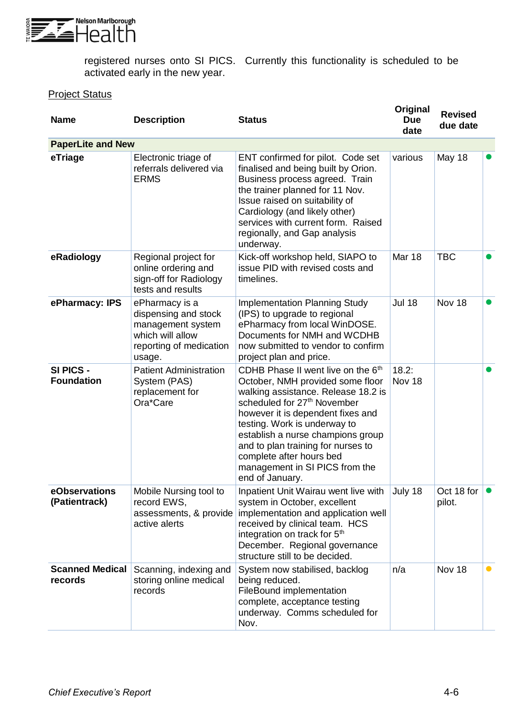

registered nurses onto SI PICS. Currently this functionality is scheduled to be activated early in the new year.

## **Project Status**

| <b>Name</b>                       | <b>Description</b>                                                                                                   | <b>Status</b>                                                                                                                                                                                                                                                                                                                                                                                         | Original<br><b>Due</b><br>date | <b>Revised</b><br>due date     |           |
|-----------------------------------|----------------------------------------------------------------------------------------------------------------------|-------------------------------------------------------------------------------------------------------------------------------------------------------------------------------------------------------------------------------------------------------------------------------------------------------------------------------------------------------------------------------------------------------|--------------------------------|--------------------------------|-----------|
| <b>PaperLite and New</b>          |                                                                                                                      |                                                                                                                                                                                                                                                                                                                                                                                                       |                                |                                |           |
| eTriage                           | Electronic triage of<br>referrals delivered via<br><b>ERMS</b>                                                       | ENT confirmed for pilot. Code set<br>finalised and being built by Orion.<br>Business process agreed. Train<br>the trainer planned for 11 Nov.<br>Issue raised on suitability of<br>Cardiology (and likely other)<br>services with current form. Raised<br>regionally, and Gap analysis<br>underway.                                                                                                   | various                        | <b>May 18</b>                  |           |
| eRadiology                        | Regional project for<br>online ordering and<br>sign-off for Radiology<br>tests and results                           | Kick-off workshop held, SIAPO to<br>issue PID with revised costs and<br>timelines.                                                                                                                                                                                                                                                                                                                    | Mar 18                         | <b>TBC</b>                     |           |
| ePharmacy: IPS                    | ePharmacy is a<br>dispensing and stock<br>management system<br>which will allow<br>reporting of medication<br>usage. | <b>Implementation Planning Study</b><br>(IPS) to upgrade to regional<br>ePharmacy from local WinDOSE.<br>Documents for NMH and WCDHB<br>now submitted to vendor to confirm<br>project plan and price.                                                                                                                                                                                                 | <b>Jul 18</b>                  | Nov 18                         |           |
| SI PICS -<br><b>Foundation</b>    | <b>Patient Administration</b><br>System (PAS)<br>replacement for<br>Ora*Care                                         | CDHB Phase II went live on the 6 <sup>th</sup><br>October, NMH provided some floor<br>walking assistance. Release 18.2 is<br>scheduled for 27 <sup>th</sup> November<br>however it is dependent fixes and<br>testing. Work is underway to<br>establish a nurse champions group<br>and to plan training for nurses to<br>complete after hours bed<br>management in SI PICS from the<br>end of January. | 18.2:<br>Nov 18                |                                |           |
| eObservations<br>(Patientrack)    | Mobile Nursing tool to<br>record EWS,<br>active alerts                                                               | Inpatient Unit Wairau went live with<br>system in October, excellent<br>assessments, & provide implementation and application well<br>received by clinical team. HCS<br>integration on track for 5 <sup>th</sup><br>December. Regional governance<br>structure still to be decided.                                                                                                                   | July 18                        | Oct 18 for $\bullet$<br>pilot. |           |
| <b>Scanned Medical</b><br>records | Scanning, indexing and<br>storing online medical<br>records                                                          | System now stabilised, backlog<br>being reduced.<br><b>FileBound implementation</b><br>complete, acceptance testing<br>underway. Comms scheduled for<br>Nov.                                                                                                                                                                                                                                          | n/a                            | Nov 18                         | $\bullet$ |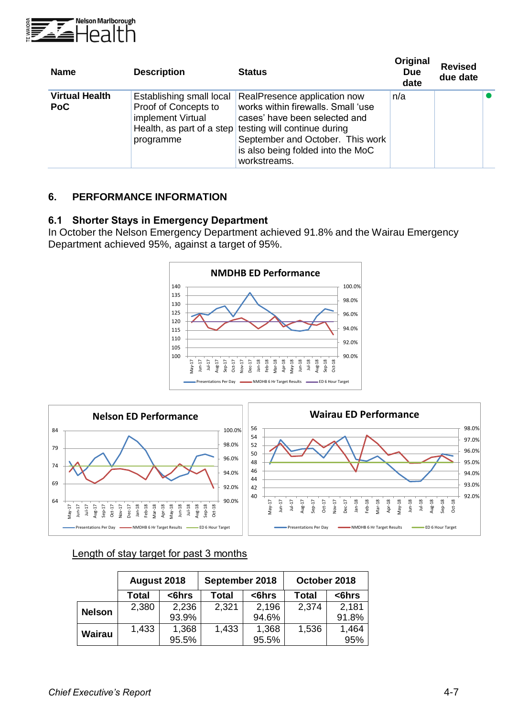

| <b>Name</b>                         | <b>Description</b>                                                                 | <b>Status</b>                                                                                                                                                                                                                                          | Original<br><b>Due</b><br>date | <b>Revised</b><br>due date |  |
|-------------------------------------|------------------------------------------------------------------------------------|--------------------------------------------------------------------------------------------------------------------------------------------------------------------------------------------------------------------------------------------------------|--------------------------------|----------------------------|--|
| <b>Virtual Health</b><br><b>PoC</b> | Establishing small local<br>Proof of Concepts to<br>implement Virtual<br>programme | RealPresence application now<br>works within firewalls. Small 'use<br>cases' have been selected and<br>Health, as part of a step testing will continue during<br>September and October. This work<br>is also being folded into the MoC<br>workstreams. | n/a                            |                            |  |

## **6. PERFORMANCE INFORMATION**

## **6.1 Shorter Stays in Emergency Department**

In October the Nelson Emergency Department achieved 91.8% and the Wairau Emergency Department achieved 95%, against a target of 95%.





## Length of stay target for past 3 months

|               | August 2018 |        | September 2018 |       | October 2018 |        |  |
|---------------|-------------|--------|----------------|-------|--------------|--------|--|
|               | Total       | $6hrs$ | Total          | <6hrs | <b>Total</b> | $6hrs$ |  |
| <b>Nelson</b> | 2,380       | 2,236  | 2,321          | 2,196 | 2,374        | 2,181  |  |
|               |             | 93.9%  |                | 94.6% |              | 91.8%  |  |
| <b>Wairau</b> | 1,433       | 1,368  | 1,433          | 1,368 | 1,536        | 1,464  |  |
|               |             | 95.5%  |                | 95.5% |              | 95%    |  |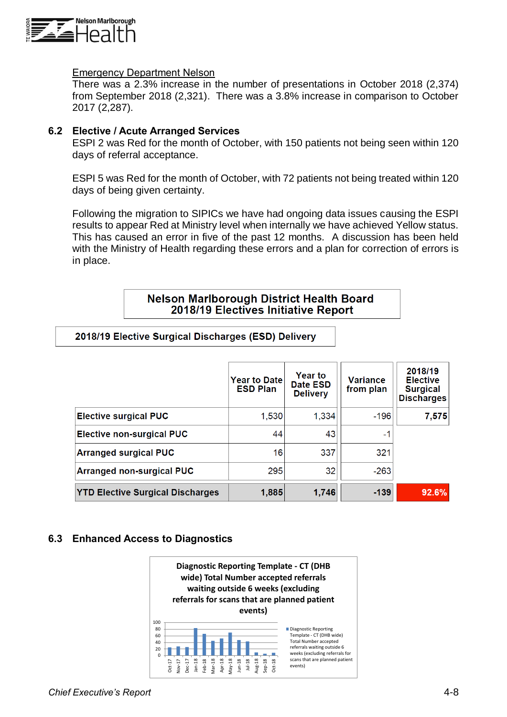

#### Emergency Department Nelson

There was a 2.3% increase in the number of presentations in October 2018 (2,374) from September 2018 (2,321). There was a 3.8% increase in comparison to October 2017 (2,287).

#### **6.2 Elective / Acute Arranged Services**

ESPI 2 was Red for the month of October, with 150 patients not being seen within 120 days of referral acceptance.

ESPI 5 was Red for the month of October, with 72 patients not being treated within 120 days of being given certainty.

Following the migration to SIPICs we have had ongoing data issues causing the ESPI results to appear Red at Ministry level when internally we have achieved Yellow status. This has caused an error in five of the past 12 months. A discussion has been held with the Ministry of Health regarding these errors and a plan for correction of errors is in place.

## **Nelson Marlborough District Health Board** 2018/19 Electives Initiative Report

#### 2018/19 Elective Surgical Discharges (ESD) Delivery

|                                         | <b>Year to Date</b><br><b>ESD Plan</b> | <b>Year to</b><br>Date ESD<br><b>Delivery</b> | Variance<br>from plan | 2018/19<br><b>Elective</b><br><b>Surgical</b><br><b>Discharges</b> |
|-----------------------------------------|----------------------------------------|-----------------------------------------------|-----------------------|--------------------------------------------------------------------|
| <b>Elective surgical PUC</b>            | 1,530                                  | 1,334                                         | $-196$                | 7,575                                                              |
| <b>Elective non-surgical PUC</b>        | 44                                     | 43                                            | -1                    |                                                                    |
| <b>Arranged surgical PUC</b>            | 16                                     | 337                                           | 321                   |                                                                    |
| <b>Arranged non-surgical PUC</b>        | 295                                    | 32                                            | $-263$                |                                                                    |
| <b>YTD Elective Surgical Discharges</b> | 1,885                                  | 1,746                                         | $-139$                | 92.6%                                                              |

#### **6.3 Enhanced Access to Diagnostics**

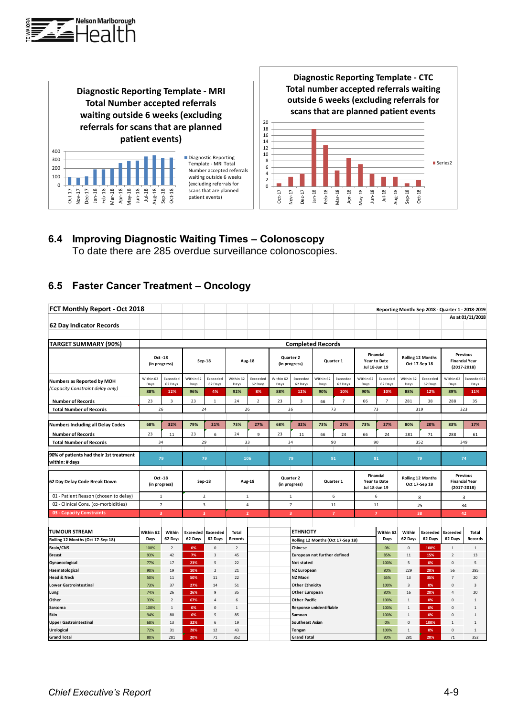



# **6.4 Improving Diagnostic Waiting Times – Colonoscopy**

To date there are 285 overdue surveillance colonoscopies.

## **6.5 Faster Cancer Treatment – Oncology**

| FCT Monthly Report - Oct 2018                                  |                          |                     |                         |                         |                         |                     |                            |                                                                                     |                   | Reporting Month: Sep 2018 - Quarter 1 - 2018-2019 |                                                   |                     |                                           |                     |                                                             |                         |
|----------------------------------------------------------------|--------------------------|---------------------|-------------------------|-------------------------|-------------------------|---------------------|----------------------------|-------------------------------------------------------------------------------------|-------------------|---------------------------------------------------|---------------------------------------------------|---------------------|-------------------------------------------|---------------------|-------------------------------------------------------------|-------------------------|
|                                                                |                          |                     |                         |                         |                         |                     |                            |                                                                                     |                   |                                                   |                                                   |                     |                                           |                     |                                                             | As at 01/11/2018        |
| 62 Day Indicator Records                                       |                          |                     |                         |                         |                         |                     |                            |                                                                                     |                   |                                                   |                                                   |                     |                                           |                     |                                                             |                         |
|                                                                |                          |                     |                         |                         |                         |                     |                            |                                                                                     |                   |                                                   |                                                   |                     |                                           |                     |                                                             |                         |
| <b>TARGET SUMMARY (90%)</b>                                    |                          |                     |                         |                         |                         |                     |                            | <b>Completed Records</b>                                                            |                   |                                                   |                                                   |                     |                                           |                     |                                                             |                         |
|                                                                | Oct -18<br>(in progress) |                     | Sep-18                  |                         | Aug-18                  |                     | Quarter 2<br>(in progress) |                                                                                     | Quarter 1         |                                                   | <b>Financial</b><br>Year to Date<br>Jul 18-Jun 19 |                     | <b>Rolling 12 Months</b><br>Oct 17-Sep 18 |                     | <b>Previous</b><br><b>Financial Year</b><br>$(2017 - 2018)$ |                         |
| Numbers as Reported by MOH<br>(Capacity Constraint delay only) | Within 62<br>Days        | Exceeded<br>62 Days | Within 62<br>Days       | Exceeded<br>62 Days     | Within 62<br>Days       | Exceeded<br>62 Days | Within 62<br>Days          | Exceeded<br>62 Days                                                                 | Within 62<br>Days | Exceeded<br>62 Days                               | Within 62<br>Days                                 | Exceeded<br>62 Days | Within 62<br>Days                         | Exceeded<br>62 Days | Within 62<br>Days                                           | Exceeded 6<br>Days      |
|                                                                | 88%                      | 12%                 | 96%                     | 4%                      | 92%                     | 8%                  | 88%                        | 12%                                                                                 | 90%               | 10%                                               | 90%                                               | 10%                 | 88%                                       | 12%                 | 89%                                                         | 11%                     |
| <b>Number of Records</b>                                       | 23                       | 3                   | 23                      | $\mathbf{1}$            | 24                      | $\overline{2}$      | 23                         | 3                                                                                   | 66                | $\overline{7}$                                    | 66                                                | $\overline{7}$      | 281                                       | 38                  | 288                                                         | 35                      |
| <b>Total Number of Records</b>                                 | 26                       |                     | 24                      |                         | 26                      |                     | 26                         |                                                                                     | 73                |                                                   | 73                                                |                     | 319                                       |                     | 323                                                         |                         |
|                                                                |                          |                     |                         |                         |                         |                     |                            |                                                                                     |                   |                                                   |                                                   |                     |                                           |                     |                                                             |                         |
| <b>Numbers Including all Delay Codes</b>                       | 68%                      | 32%                 | 79%                     | 21%                     | 73%                     | 27%                 | 68%                        | 32%                                                                                 | 73%               | 27%                                               | 73%                                               | 27%                 | 80%                                       | 20%                 | 83%                                                         | 17%                     |
| <b>Number of Records</b>                                       | 23                       | 11                  | 23                      | 6                       | 24                      | $\mathbf{q}$        | 23                         | 11                                                                                  | 66                | 24                                                | 66                                                | 24                  | 281                                       | 71                  | 288                                                         | 61                      |
| <b>Total Number of Records</b>                                 | 34                       |                     | 29                      |                         | 33                      |                     | 34                         |                                                                                     | 90                |                                                   | 90                                                |                     | 352                                       |                     | 349                                                         |                         |
| 90% of patients had their 1st treatment<br>within: # days      | 79                       |                     | 79                      |                         | 106                     |                     | 79                         |                                                                                     | 91                |                                                   | 91                                                |                     | 79                                        |                     | 74                                                          |                         |
| 62 Day Delay Code Break Down                                   | Oct -18<br>(in progress) |                     | Sep-18                  |                         | Aug-18                  |                     | Quarter 2<br>(in progress) |                                                                                     | Quarter 1         |                                                   | Financial<br>Year to Date<br>Jul 18-Jun 19        |                     | Rolling 12 Months<br>Oct 17-Sep 18        |                     | Previous<br><b>Financial Year</b><br>$(2017 - 2018)$        |                         |
| 01 - Patient Reason (chosen to delay)                          | $\mathbf{1}$             |                     | $\overline{2}$          |                         | $\mathbf{1}$            |                     | $\mathbf{1}$               |                                                                                     | 6                 |                                                   | 6                                                 |                     | 8                                         |                     | 3                                                           |                         |
| 02 - Clinical Cons. (co-morbidities)                           | $\overline{7}$           |                     | 3                       |                         | $\sqrt{4}$              |                     | 7                          |                                                                                     | 11                |                                                   | 11                                                |                     | 25                                        |                     | 34                                                          |                         |
| 03 - Capacity Constraints                                      | $\overline{\mathbf{3}}$  |                     | $\overline{\mathbf{3}}$ |                         | $\overline{2}$          |                     | $\overline{\mathbf{3}}$    |                                                                                     | $\overline{7}$    |                                                   | $\overline{7}$                                    |                     | 38                                        |                     | 42                                                          |                         |
|                                                                |                          |                     |                         |                         |                         |                     |                            |                                                                                     |                   |                                                   |                                                   |                     |                                           |                     |                                                             |                         |
| <b>TUMOUR STREAM</b><br>Rolling 12 Months (Oct 17-Sep 18)      | Within 62<br>Days        | Within<br>62 Days   | Exceeded<br>62 Days     | Exceeded<br>62 Days     | Total<br><b>Records</b> |                     |                            | <b>ETHNICITY</b><br>Rolling 12 Months (Oct 17-Sep 18)<br><b>Chinese</b>             |                   |                                                   |                                                   | Within 62<br>Days   | Within<br>62 Days                         | Exceeded<br>62 Days | Exceeded<br>62 Days                                         | <b>Total</b><br>Records |
| Brain/CNS                                                      | 100%                     | $\overline{2}$      | 0%                      | $\mathsf 0$             | $\overline{2}$          |                     |                            |                                                                                     |                   |                                                   |                                                   | 0%                  | 0                                         | 100%                | $\mathbf{1}$                                                | $\mathbf{1}$            |
| <b>Breast</b>                                                  | 93%                      | 42                  | 7%                      | $\overline{\mathbf{3}}$ | 45                      |                     |                            | European not further defined<br>Not stated<br><b>NZ European</b><br><b>NZ Maori</b> |                   |                                                   |                                                   | 85%                 | 11                                        | 15%                 | $\overline{2}$                                              | 13                      |
| Gynaecological                                                 | 77%                      | 17                  | 23%                     | $\mathsf S$             | 22                      |                     |                            |                                                                                     |                   |                                                   |                                                   | 100%                | 5                                         | 0%                  | $\mathbf 0$                                                 | 5                       |
| Haematological                                                 | 90%                      | 19                  | 10%                     | $\overline{2}$          | 21                      |                     |                            |                                                                                     |                   |                                                   |                                                   | 80%                 | 229                                       | 20%                 | 56                                                          | 285                     |
| Head & Neck                                                    | 50%                      | 11                  | 50%                     | 11                      | 22                      |                     |                            |                                                                                     |                   |                                                   |                                                   | 65%                 | 13                                        | 35%                 | $\overline{7}$                                              | 20                      |
| <b>Lower Gastrointestinal</b>                                  | 73%                      | 37                  | 27%                     | 14                      | 51                      |                     |                            | <b>Other Ethnicity</b>                                                              |                   |                                                   |                                                   | 100%                | $\overline{\mathbf{3}}$                   | 0%                  | $\sqrt{ }$                                                  | 3                       |
| Lung                                                           | 74%                      | 26                  | 26%                     | 9                       | 35                      |                     |                            | <b>Other European</b>                                                               |                   |                                                   |                                                   | 80%                 | 16                                        | 20%                 | $\overline{4}$                                              | 20                      |
| Other                                                          | 33%                      | $\overline{2}$      | 67%                     | $\overline{4}$          | 6                       |                     |                            | <b>Other Pacific</b>                                                                |                   |                                                   |                                                   | 100%                | $\mathbf{1}$                              | 0%                  | $\Omega$                                                    | $\mathbf{1}$            |
| Sarcoma                                                        | 100%                     | $\mathbf 1$         | 0%                      | $\mathsf 0$             | $\,$ 1                  |                     |                            | Response unidentifiable                                                             |                   |                                                   |                                                   | 100%                | $\mathbf{1}$                              | 0%                  | $\Omega$                                                    | $\mathbf{1}$            |
| Skin                                                           | 94%                      | 80                  | 6%                      | 5                       | 85                      |                     |                            | Samoan                                                                              |                   |                                                   |                                                   | 100%                | $\mathbf{1}$                              | 0%                  | $\mathbf 0$                                                 | $\mathbf{1}$            |
| <b>Upper Gastrointestinal</b>                                  | 68%                      | 13                  | 32%                     | 6                       | 19                      |                     |                            | <b>Southeast Asian</b>                                                              |                   |                                                   |                                                   | 0%                  | $\mathbf 0$                               | 100%                | $\mathbf{1}$                                                | $\mathbf{1}$            |
| <b>Urological</b>                                              | 72%                      | 31                  | 28%                     | 12                      | 43                      |                     |                            | <b>Tongan</b>                                                                       |                   |                                                   |                                                   | 100%                | $\mathbf{1}$                              | 0%                  | $\mathbf 0$                                                 | $\mathbf{1}$            |
| <b>Grand Total</b>                                             | 80%                      | 281                 | 20%                     | 71                      | 352                     |                     |                            | <b>Grand Total</b>                                                                  |                   |                                                   |                                                   | 80%                 | 281                                       | 20%                 | 71                                                          | 352                     |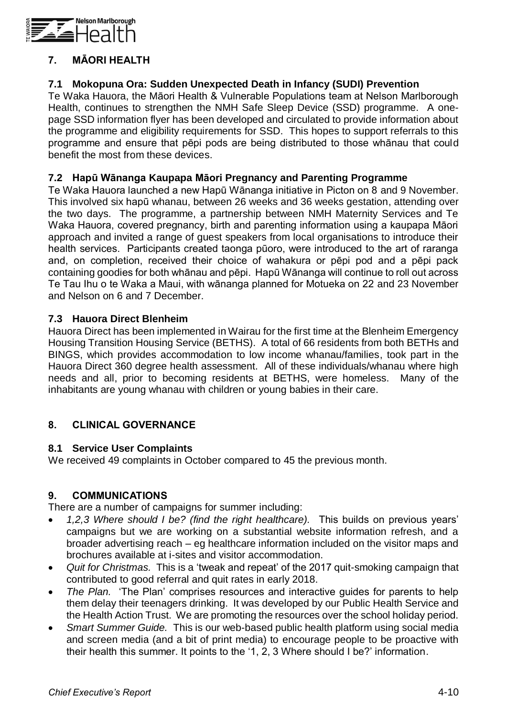

# **7. MĀORI HEALTH**

## **7.1 Mokopuna Ora: Sudden Unexpected Death in Infancy (SUDI) Prevention**

Te Waka Hauora, the Māori Health & Vulnerable Populations team at Nelson Marlborough Health, continues to strengthen the NMH Safe Sleep Device (SSD) programme. A onepage SSD information flyer has been developed and circulated to provide information about the programme and eligibility requirements for SSD. This hopes to support referrals to this programme and ensure that pēpi pods are being distributed to those whānau that could benefit the most from these devices.

## **7.2 Hapū Wānanga Kaupapa Māori Pregnancy and Parenting Programme**

Te Waka Hauora launched a new Hapū Wānanga initiative in Picton on 8 and 9 November. This involved six hapū whanau, between 26 weeks and 36 weeks gestation, attending over the two days. The programme, a partnership between NMH Maternity Services and Te Waka Hauora, covered pregnancy, birth and parenting information using a kaupapa Māori approach and invited a range of guest speakers from local organisations to introduce their health services. Participants created taonga pūoro, were introduced to the art of raranga and, on completion, received their choice of wahakura or pēpi pod and a pēpi pack containing goodies for both whānau and pēpi. Hapū Wānanga will continue to roll out across Te Tau Ihu o te Waka a Maui, with wānanga planned for Motueka on 22 and 23 November and Nelson on 6 and 7 December.

## **7.3 Hauora Direct Blenheim**

Hauora Direct has been implemented in Wairau for the first time at the Blenheim Emergency Housing Transition Housing Service (BETHS). A total of 66 residents from both BETHs and BINGS, which provides accommodation to low income whanau/families, took part in the Hauora Direct 360 degree health assessment. All of these individuals/whanau where high needs and all, prior to becoming residents at BETHS, were homeless. Many of the inhabitants are young whanau with children or young babies in their care.

## **8. CLINICAL GOVERNANCE**

## **8.1 Service User Complaints**

We received 49 complaints in October compared to 45 the previous month.

## **9. COMMUNICATIONS**

There are a number of campaigns for summer including:

- *1,2,3 Where should I be? (find the right healthcare).* This builds on previous years' campaigns but we are working on a substantial website information refresh, and a broader advertising reach – eg healthcare information included on the visitor maps and brochures available at i-sites and visitor accommodation.
- *Quit for Christmas.* This is a 'tweak and repeat' of the 2017 quit-smoking campaign that contributed to good referral and quit rates in early 2018.
- *The Plan.* 'The Plan' comprises resources and interactive guides for parents to help them delay their teenagers drinking. It was developed by our Public Health Service and the Health Action Trust. We are promoting the resources over the school holiday period.
- *Smart Summer Guide.* This is our web-based public health platform using social media and screen media (and a bit of print media) to encourage people to be proactive with their health this summer. It points to the '1, 2, 3 Where should I be?' information.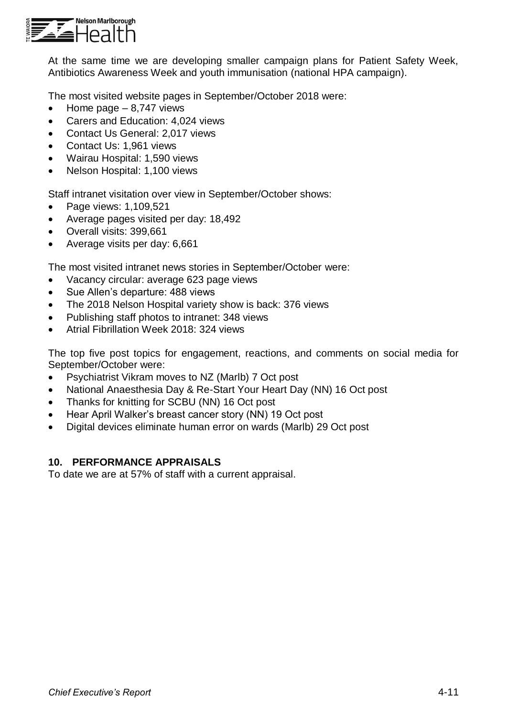

At the same time we are developing smaller campaign plans for Patient Safety Week, Antibiotics Awareness Week and youth immunisation (national HPA campaign).

The most visited website pages in September/October 2018 were:

- Home page 8,747 views
- Carers and Education: 4,024 views
- Contact Us General: 2,017 views
- Contact Us: 1,961 views
- Wairau Hospital: 1,590 views
- Nelson Hospital: 1,100 views

Staff intranet visitation over view in September/October shows:

- Page views: 1,109,521
- Average pages visited per day: 18,492
- Overall visits: 399,661
- Average visits per day: 6,661

The most visited intranet news stories in September/October were:

- Vacancy circular: average 623 page views
- Sue Allen's departure: 488 views
- The 2018 Nelson Hospital variety show is back: 376 views
- Publishing staff photos to intranet: 348 views
- Atrial Fibrillation Week 2018: 324 views

The top five post topics for engagement, reactions, and comments on social media for September/October were:

- Psychiatrist Vikram moves to NZ (Marlb) 7 Oct post
- National Anaesthesia Day & Re-Start Your Heart Day (NN) 16 Oct post
- Thanks for knitting for SCBU (NN) 16 Oct post
- Hear April Walker's breast cancer story (NN) 19 Oct post
- Digital devices eliminate human error on wards (Marlb) 29 Oct post

## **10. PERFORMANCE APPRAISALS**

To date we are at 57% of staff with a current appraisal.